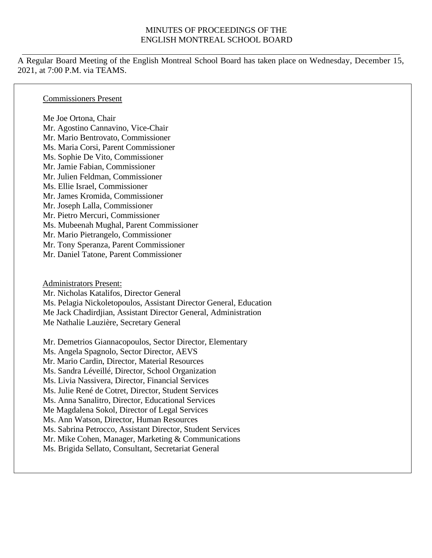#### MINUTES OF PROCEEDINGS OF THE ENGLISH MONTREAL SCHOOL BOARD

A Regular Board Meeting of the English Montreal School Board has taken place on Wednesday, December 15, 2021, at 7:00 P.M. via TEAMS.

#### Commissioners Present

Me Joe Ortona, Chair Mr. Agostino Cannavino, Vice-Chair Mr. Mario Bentrovato, Commissioner Ms. Maria Corsi, Parent Commissioner Ms. Sophie De Vito, Commissioner Mr. Jamie Fabian, Commissioner Mr. Julien Feldman, Commissioner Ms. Ellie Israel, Commissioner Mr. James Kromida, Commissioner Mr. Joseph Lalla, Commissioner Mr. Pietro Mercuri, Commissioner Ms. Mubeenah Mughal, Parent Commissioner Mr. Mario Pietrangelo, Commissioner Mr. Tony Speranza, Parent Commissioner Mr. Daniel Tatone, Parent Commissioner

Administrators Present: Mr. Nicholas Katalifos, Director General Ms. Pelagia Nickoletopoulos, Assistant Director General, Education Me Jack Chadirdjian, Assistant Director General, Administration Me Nathalie Lauzière, Secretary General

Mr. Demetrios Giannacopoulos, Sector Director, Elementary Ms. Angela Spagnolo, Sector Director, AEVS Mr. Mario Cardin, Director, Material Resources Ms. Sandra Léveillé, Director, School Organization Ms. Livia Nassivera, Director, Financial Services Ms. Julie René de Cotret, Director, Student Services Ms. Anna Sanalitro, Director, Educational Services Me Magdalena Sokol, Director of Legal Services Ms. Ann Watson, Director, Human Resources Ms. Sabrina Petrocco, Assistant Director, Student Services Mr. Mike Cohen, Manager, Marketing & Communications Ms. Brigida Sellato, Consultant, Secretariat General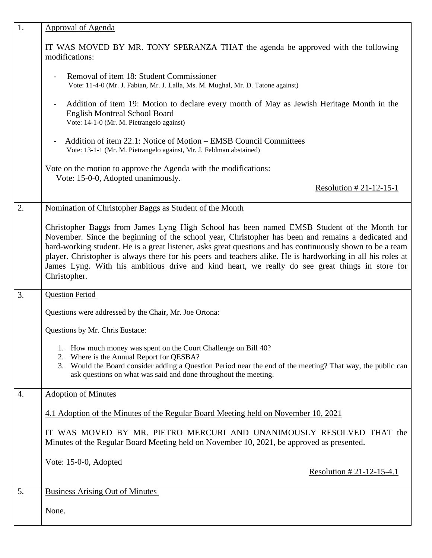| 1. | <b>Approval of Agenda</b>                                                                                                                                                                                                                                                                                                                                                                                                                                                                                                                        |
|----|--------------------------------------------------------------------------------------------------------------------------------------------------------------------------------------------------------------------------------------------------------------------------------------------------------------------------------------------------------------------------------------------------------------------------------------------------------------------------------------------------------------------------------------------------|
|    | IT WAS MOVED BY MR. TONY SPERANZA THAT the agenda be approved with the following<br>modifications:                                                                                                                                                                                                                                                                                                                                                                                                                                               |
|    | Removal of item 18: Student Commissioner<br>Vote: 11-4-0 (Mr. J. Fabian, Mr. J. Lalla, Ms. M. Mughal, Mr. D. Tatone against)                                                                                                                                                                                                                                                                                                                                                                                                                     |
|    | Addition of item 19: Motion to declare every month of May as Jewish Heritage Month in the<br><b>English Montreal School Board</b><br>Vote: 14-1-0 (Mr. M. Pietrangelo against)                                                                                                                                                                                                                                                                                                                                                                   |
|    | Addition of item 22.1: Notice of Motion – EMSB Council Committees<br>Vote: 13-1-1 (Mr. M. Pietrangelo against, Mr. J. Feldman abstained)                                                                                                                                                                                                                                                                                                                                                                                                         |
|    | Vote on the motion to approve the Agenda with the modifications:<br>Vote: 15-0-0, Adopted unanimously.                                                                                                                                                                                                                                                                                                                                                                                                                                           |
|    | Resolution # 21-12-15-1                                                                                                                                                                                                                                                                                                                                                                                                                                                                                                                          |
| 2. | Nomination of Christopher Baggs as Student of the Month                                                                                                                                                                                                                                                                                                                                                                                                                                                                                          |
|    | Christopher Baggs from James Lyng High School has been named EMSB Student of the Month for<br>November. Since the beginning of the school year, Christopher has been and remains a dedicated and<br>hard-working student. He is a great listener, asks great questions and has continuously shown to be a team<br>player. Christopher is always there for his peers and teachers alike. He is hardworking in all his roles at<br>James Lyng. With his ambitious drive and kind heart, we really do see great things in store for<br>Christopher. |
| 3. | <b>Question Period</b>                                                                                                                                                                                                                                                                                                                                                                                                                                                                                                                           |
|    | Questions were addressed by the Chair, Mr. Joe Ortona:                                                                                                                                                                                                                                                                                                                                                                                                                                                                                           |
|    | Questions by Mr. Chris Eustace:                                                                                                                                                                                                                                                                                                                                                                                                                                                                                                                  |
|    | 1. How much money was spent on the Court Challenge on Bill 40?                                                                                                                                                                                                                                                                                                                                                                                                                                                                                   |
|    | 2. Where is the Annual Report for QESBA?<br>3. Would the Board consider adding a Question Period near the end of the meeting? That way, the public can<br>ask questions on what was said and done throughout the meeting.                                                                                                                                                                                                                                                                                                                        |
| 4. | <b>Adoption of Minutes</b>                                                                                                                                                                                                                                                                                                                                                                                                                                                                                                                       |
|    | 4.1 Adoption of the Minutes of the Regular Board Meeting held on November 10, 2021                                                                                                                                                                                                                                                                                                                                                                                                                                                               |
|    | IT WAS MOVED BY MR. PIETRO MERCURI AND UNANIMOUSLY RESOLVED THAT the<br>Minutes of the Regular Board Meeting held on November 10, 2021, be approved as presented.                                                                                                                                                                                                                                                                                                                                                                                |
|    | Vote: 15-0-0, Adopted<br><u>Resolution #21-12-15-4.1</u>                                                                                                                                                                                                                                                                                                                                                                                                                                                                                         |
| 5. | <b>Business Arising Out of Minutes</b>                                                                                                                                                                                                                                                                                                                                                                                                                                                                                                           |
|    | None.                                                                                                                                                                                                                                                                                                                                                                                                                                                                                                                                            |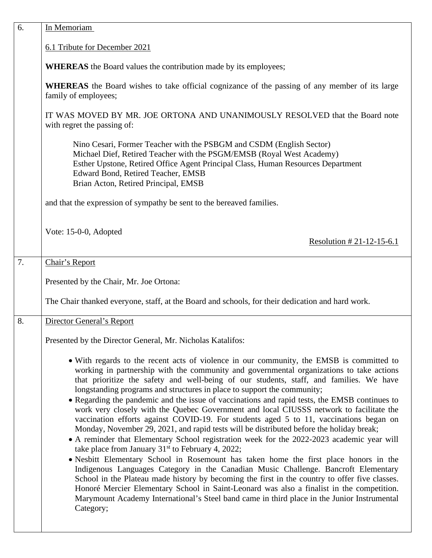| 6. | In Memoriam                                                                                                                                                                                                                                                                                                                                                                                                                                                                                                                                                                                                                                                                                                                                                                                                                                                                                                                                                                                                                                                                                                                                                                                                                                                                                                                                                                                 |
|----|---------------------------------------------------------------------------------------------------------------------------------------------------------------------------------------------------------------------------------------------------------------------------------------------------------------------------------------------------------------------------------------------------------------------------------------------------------------------------------------------------------------------------------------------------------------------------------------------------------------------------------------------------------------------------------------------------------------------------------------------------------------------------------------------------------------------------------------------------------------------------------------------------------------------------------------------------------------------------------------------------------------------------------------------------------------------------------------------------------------------------------------------------------------------------------------------------------------------------------------------------------------------------------------------------------------------------------------------------------------------------------------------|
|    | 6.1 Tribute for December 2021                                                                                                                                                                                                                                                                                                                                                                                                                                                                                                                                                                                                                                                                                                                                                                                                                                                                                                                                                                                                                                                                                                                                                                                                                                                                                                                                                               |
|    | <b>WHEREAS</b> the Board values the contribution made by its employees;                                                                                                                                                                                                                                                                                                                                                                                                                                                                                                                                                                                                                                                                                                                                                                                                                                                                                                                                                                                                                                                                                                                                                                                                                                                                                                                     |
|    | WHEREAS the Board wishes to take official cognizance of the passing of any member of its large<br>family of employees;                                                                                                                                                                                                                                                                                                                                                                                                                                                                                                                                                                                                                                                                                                                                                                                                                                                                                                                                                                                                                                                                                                                                                                                                                                                                      |
|    | IT WAS MOVED BY MR. JOE ORTONA AND UNANIMOUSLY RESOLVED that the Board note<br>with regret the passing of:                                                                                                                                                                                                                                                                                                                                                                                                                                                                                                                                                                                                                                                                                                                                                                                                                                                                                                                                                                                                                                                                                                                                                                                                                                                                                  |
|    | Nino Cesari, Former Teacher with the PSBGM and CSDM (English Sector)<br>Michael Dief, Retired Teacher with the PSGM/EMSB (Royal West Academy)<br>Esther Upstone, Retired Office Agent Principal Class, Human Resources Department<br>Edward Bond, Retired Teacher, EMSB<br>Brian Acton, Retired Principal, EMSB                                                                                                                                                                                                                                                                                                                                                                                                                                                                                                                                                                                                                                                                                                                                                                                                                                                                                                                                                                                                                                                                             |
|    | and that the expression of sympathy be sent to the bereaved families.                                                                                                                                                                                                                                                                                                                                                                                                                                                                                                                                                                                                                                                                                                                                                                                                                                                                                                                                                                                                                                                                                                                                                                                                                                                                                                                       |
|    | Vote: 15-0-0, Adopted<br>Resolution $#21-12-15-6.1$                                                                                                                                                                                                                                                                                                                                                                                                                                                                                                                                                                                                                                                                                                                                                                                                                                                                                                                                                                                                                                                                                                                                                                                                                                                                                                                                         |
| 7. | Chair's Report                                                                                                                                                                                                                                                                                                                                                                                                                                                                                                                                                                                                                                                                                                                                                                                                                                                                                                                                                                                                                                                                                                                                                                                                                                                                                                                                                                              |
|    | Presented by the Chair, Mr. Joe Ortona:                                                                                                                                                                                                                                                                                                                                                                                                                                                                                                                                                                                                                                                                                                                                                                                                                                                                                                                                                                                                                                                                                                                                                                                                                                                                                                                                                     |
|    | The Chair thanked everyone, staff, at the Board and schools, for their dedication and hard work.                                                                                                                                                                                                                                                                                                                                                                                                                                                                                                                                                                                                                                                                                                                                                                                                                                                                                                                                                                                                                                                                                                                                                                                                                                                                                            |
| 8. | Director General's Report                                                                                                                                                                                                                                                                                                                                                                                                                                                                                                                                                                                                                                                                                                                                                                                                                                                                                                                                                                                                                                                                                                                                                                                                                                                                                                                                                                   |
|    | Presented by the Director General, Mr. Nicholas Katalifos:                                                                                                                                                                                                                                                                                                                                                                                                                                                                                                                                                                                                                                                                                                                                                                                                                                                                                                                                                                                                                                                                                                                                                                                                                                                                                                                                  |
|    | • With regards to the recent acts of violence in our community, the EMSB is committed to<br>working in partnership with the community and governmental organizations to take actions<br>that prioritize the safety and well-being of our students, staff, and families. We have<br>longstanding programs and structures in place to support the community;<br>• Regarding the pandemic and the issue of vaccinations and rapid tests, the EMSB continues to<br>work very closely with the Quebec Government and local CIUSSS network to facilitate the<br>vaccination efforts against COVID-19. For students aged 5 to 11, vaccinations began on<br>Monday, November 29, 2021, and rapid tests will be distributed before the holiday break;<br>• A reminder that Elementary School registration week for the 2022-2023 academic year will<br>take place from January $31st$ to February 4, 2022;<br>• Nesbitt Elementary School in Rosemount has taken home the first place honors in the<br>Indigenous Languages Category in the Canadian Music Challenge. Bancroft Elementary<br>School in the Plateau made history by becoming the first in the country to offer five classes.<br>Honoré Mercier Elementary School in Saint-Leonard was also a finalist in the competition.<br>Marymount Academy International's Steel band came in third place in the Junior Instrumental<br>Category; |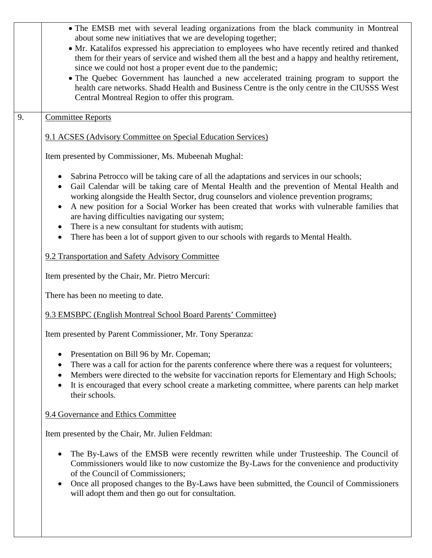|    | • The EMSB met with several leading organizations from the black community in Montreal<br>about some new initiatives that we are developing together;<br>• Mr. Katalifos expressed his appreciation to employees who have recently retired and thanked<br>them for their years of service and wished them all the best and a happy and healthy retirement,<br>since we could not host a proper event due to the pandemic;<br>• The Quebec Government has launched a new accelerated training program to support the<br>health care networks. Shadd Health and Business Centre is the only centre in the CIUSSS West<br>Central Montreal Region to offer this program. |
|----|-----------------------------------------------------------------------------------------------------------------------------------------------------------------------------------------------------------------------------------------------------------------------------------------------------------------------------------------------------------------------------------------------------------------------------------------------------------------------------------------------------------------------------------------------------------------------------------------------------------------------------------------------------------------------|
| 9. | <b>Committee Reports</b>                                                                                                                                                                                                                                                                                                                                                                                                                                                                                                                                                                                                                                              |
|    | 9.1 ACSES (Advisory Committee on Special Education Services)                                                                                                                                                                                                                                                                                                                                                                                                                                                                                                                                                                                                          |
|    | Item presented by Commissioner, Ms. Mubeenah Mughal:                                                                                                                                                                                                                                                                                                                                                                                                                                                                                                                                                                                                                  |
|    | Sabrina Petrocco will be taking care of all the adaptations and services in our schools;<br>$\bullet$<br>Gail Calendar will be taking care of Mental Health and the prevention of Mental Health and<br>$\bullet$<br>working alongside the Health Sector, drug counselors and violence prevention programs;<br>A new position for a Social Worker has been created that works with vulnerable families that<br>$\bullet$<br>are having difficulties navigating our system;<br>There is a new consultant for students with autism;<br>There has been a lot of support given to our schools with regards to Mental Health.<br>$\bullet$                                  |
|    | 9.2 Transportation and Safety Advisory Committee                                                                                                                                                                                                                                                                                                                                                                                                                                                                                                                                                                                                                      |
|    | Item presented by the Chair, Mr. Pietro Mercuri:                                                                                                                                                                                                                                                                                                                                                                                                                                                                                                                                                                                                                      |
|    | There has been no meeting to date.                                                                                                                                                                                                                                                                                                                                                                                                                                                                                                                                                                                                                                    |
|    | 9.3 EMSBPC (English Montreal School Board Parents' Committee)                                                                                                                                                                                                                                                                                                                                                                                                                                                                                                                                                                                                         |
|    | Item presented by Parent Commissioner, Mr. Tony Speranza:                                                                                                                                                                                                                                                                                                                                                                                                                                                                                                                                                                                                             |
|    | Presentation on Bill 96 by Mr. Copeman;<br>There was a call for action for the parents conference where there was a request for volunteers;<br>Members were directed to the website for vaccination reports for Elementary and High Schools;<br>$\bullet$<br>It is encouraged that every school create a marketing committee, where parents can help market<br>$\bullet$<br>their schools.                                                                                                                                                                                                                                                                            |
|    | 9.4 Governance and Ethics Committee                                                                                                                                                                                                                                                                                                                                                                                                                                                                                                                                                                                                                                   |
|    | Item presented by the Chair, Mr. Julien Feldman:                                                                                                                                                                                                                                                                                                                                                                                                                                                                                                                                                                                                                      |
|    | The By-Laws of the EMSB were recently rewritten while under Trusteeship. The Council of<br>$\bullet$<br>Commissioners would like to now customize the By-Laws for the convenience and productivity<br>of the Council of Commissioners;<br>Once all proposed changes to the By-Laws have been submitted, the Council of Commissioners<br>$\bullet$<br>will adopt them and then go out for consultation.                                                                                                                                                                                                                                                                |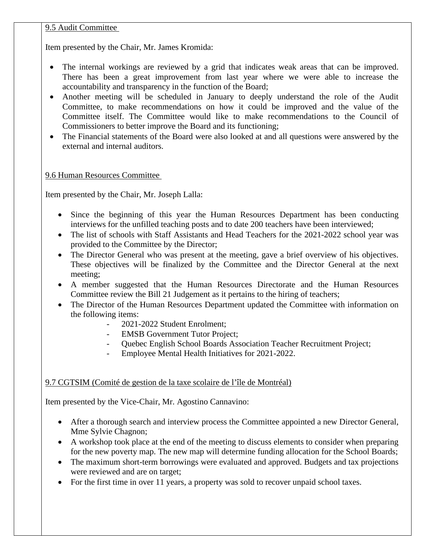#### 9.5 Audit Committee

Item presented by the Chair, Mr. James Kromida:

- The internal workings are reviewed by a grid that indicates weak areas that can be improved. There has been a great improvement from last year where we were able to increase the accountability and transparency in the function of the Board;
- Another meeting will be scheduled in January to deeply understand the role of the Audit Committee, to make recommendations on how it could be improved and the value of the Committee itself. The Committee would like to make recommendations to the Council of Commissioners to better improve the Board and its functioning;
- The Financial statements of the Board were also looked at and all questions were answered by the external and internal auditors.

# 9.6 Human Resources Committee

Item presented by the Chair, Mr. Joseph Lalla:

- Since the beginning of this year the Human Resources Department has been conducting interviews for the unfilled teaching posts and to date 200 teachers have been interviewed;
- The list of schools with Staff Assistants and Head Teachers for the 2021-2022 school year was provided to the Committee by the Director;
- The Director General who was present at the meeting, gave a brief overview of his objectives. These objectives will be finalized by the Committee and the Director General at the next meeting;
- A member suggested that the Human Resources Directorate and the Human Resources Committee review the Bill 21 Judgement as it pertains to the hiring of teachers;
- The Director of the Human Resources Department updated the Committee with information on the following items:
	- 2021-2022 Student Enrolment;
	- **EMSB Government Tutor Project;**
	- Quebec English School Boards Association Teacher Recruitment Project;
	- Employee Mental Health Initiatives for 2021-2022.

# 9.7 CGTSIM (Comité de gestion de la taxe scolaire de l'île de Montréal)

Item presented by the Vice-Chair, Mr. Agostino Cannavino:

- After a thorough search and interview process the Committee appointed a new Director General, Mme Sylvie Chagnon;
- A workshop took place at the end of the meeting to discuss elements to consider when preparing for the new poverty map. The new map will determine funding allocation for the School Boards;
- The maximum short-term borrowings were evaluated and approved. Budgets and tax projections were reviewed and are on target;
- For the first time in over 11 years, a property was sold to recover unpaid school taxes.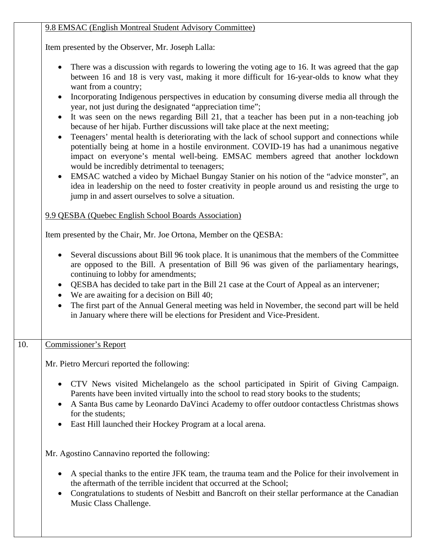| 9.8 EMSAC (English Montreal Student Advisory Committee) |
|---------------------------------------------------------|
|---------------------------------------------------------|

Item presented by the Observer, Mr. Joseph Lalla:

- There was a discussion with regards to lowering the voting age to 16. It was agreed that the gap between 16 and 18 is very vast, making it more difficult for 16-year-olds to know what they want from a country;
- Incorporating Indigenous perspectives in education by consuming diverse media all through the year, not just during the designated "appreciation time";
- It was seen on the news regarding Bill 21, that a teacher has been put in a non-teaching job because of her hijab. Further discussions will take place at the next meeting;
- Teenagers' mental health is deteriorating with the lack of school support and connections while potentially being at home in a hostile environment. COVID-19 has had a unanimous negative impact on everyone's mental well-being. EMSAC members agreed that another lockdown would be incredibly detrimental to teenagers;
- EMSAC watched a video by Michael Bungay Stanier on his notion of the "advice monster", an idea in leadership on the need to foster creativity in people around us and resisting the urge to jump in and assert ourselves to solve a situation.

# 9.9 QESBA (Quebec English School Boards Association)

Item presented by the Chair, Mr. Joe Ortona, Member on the QESBA:

- Several discussions about Bill 96 took place. It is unanimous that the members of the Committee are opposed to the Bill. A presentation of Bill 96 was given of the parliamentary hearings, continuing to lobby for amendments;
- QESBA has decided to take part in the Bill 21 case at the Court of Appeal as an intervener;
- We are awaiting for a decision on Bill 40;
- The first part of the Annual General meeting was held in November, the second part will be held in January where there will be elections for President and Vice-President.
- 10. Commissioner's Report

Mr. Pietro Mercuri reported the following:

- CTV News visited Michelangelo as the school participated in Spirit of Giving Campaign. Parents have been invited virtually into the school to read story books to the students;
- A Santa Bus came by Leonardo DaVinci Academy to offer outdoor contactless Christmas shows for the students;
- East Hill launched their Hockey Program at a local arena.

Mr. Agostino Cannavino reported the following:

- A special thanks to the entire JFK team, the trauma team and the Police for their involvement in the aftermath of the terrible incident that occurred at the School;
- Congratulations to students of Nesbitt and Bancroft on their stellar performance at the Canadian Music Class Challenge.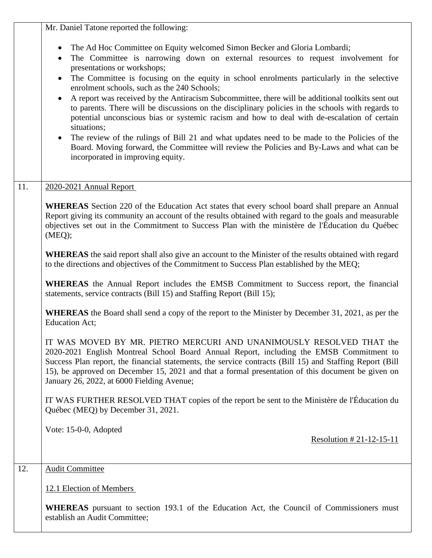|                   | Mr. Daniel Tatone reported the following:                                                                                                                                                                                                                                                                                                                                                                                                                                                                                                                                                                                                                                                                                                                                                                                                                                                                       |
|-------------------|-----------------------------------------------------------------------------------------------------------------------------------------------------------------------------------------------------------------------------------------------------------------------------------------------------------------------------------------------------------------------------------------------------------------------------------------------------------------------------------------------------------------------------------------------------------------------------------------------------------------------------------------------------------------------------------------------------------------------------------------------------------------------------------------------------------------------------------------------------------------------------------------------------------------|
|                   | The Ad Hoc Committee on Equity welcomed Simon Becker and Gloria Lombardi;<br>The Committee is narrowing down on external resources to request involvement for<br>presentations or workshops;<br>The Committee is focusing on the equity in school enrolments particularly in the selective<br>enrolment schools, such as the 240 Schools;<br>A report was received by the Antiracism Subcommittee, there will be additional toolkits sent out<br>$\bullet$<br>to parents. There will be discussions on the disciplinary policies in the schools with regards to<br>potential unconscious bias or systemic racism and how to deal with de-escalation of certain<br>situations;<br>The review of the rulings of Bill 21 and what updates need to be made to the Policies of the<br>Board. Moving forward, the Committee will review the Policies and By-Laws and what can be<br>incorporated in improving equity. |
| 11.               | 2020-2021 Annual Report                                                                                                                                                                                                                                                                                                                                                                                                                                                                                                                                                                                                                                                                                                                                                                                                                                                                                         |
|                   | <b>WHEREAS</b> Section 220 of the Education Act states that every school board shall prepare an Annual<br>Report giving its community an account of the results obtained with regard to the goals and measurable<br>objectives set out in the Commitment to Success Plan with the ministère de l'Éducation du Québec<br>(MEQ);                                                                                                                                                                                                                                                                                                                                                                                                                                                                                                                                                                                  |
|                   | <b>WHEREAS</b> the said report shall also give an account to the Minister of the results obtained with regard<br>to the directions and objectives of the Commitment to Success Plan established by the MEQ;                                                                                                                                                                                                                                                                                                                                                                                                                                                                                                                                                                                                                                                                                                     |
|                   | <b>WHEREAS</b> the Annual Report includes the EMSB Commitment to Success report, the financial<br>statements, service contracts (Bill 15) and Staffing Report (Bill 15);                                                                                                                                                                                                                                                                                                                                                                                                                                                                                                                                                                                                                                                                                                                                        |
|                   | <b>WHEREAS</b> the Board shall send a copy of the report to the Minister by December 31, 2021, as per the<br><b>Education Act;</b>                                                                                                                                                                                                                                                                                                                                                                                                                                                                                                                                                                                                                                                                                                                                                                              |
|                   | IT WAS MOVED BY MR. PIETRO MERCURI AND UNANIMOUSLY RESOLVED THAT the<br>2020-2021 English Montreal School Board Annual Report, including the EMSB Commitment to<br>Success Plan report, the financial statements, the service contracts (Bill 15) and Staffing Report (Bill<br>15), be approved on December 15, 2021 and that a formal presentation of this document be given on<br>January 26, 2022, at 6000 Fielding Avenue;                                                                                                                                                                                                                                                                                                                                                                                                                                                                                  |
|                   | IT WAS FURTHER RESOLVED THAT copies of the report be sent to the Ministère de l'Éducation du<br>Québec (MEQ) by December 31, 2021.                                                                                                                                                                                                                                                                                                                                                                                                                                                                                                                                                                                                                                                                                                                                                                              |
|                   | Vote: 15-0-0, Adopted<br>Resolution $# 21 - 12 - 15 - 11$                                                                                                                                                                                                                                                                                                                                                                                                                                                                                                                                                                                                                                                                                                                                                                                                                                                       |
| $\overline{12}$ . | <b>Audit Committee</b>                                                                                                                                                                                                                                                                                                                                                                                                                                                                                                                                                                                                                                                                                                                                                                                                                                                                                          |
|                   | 12.1 Election of Members                                                                                                                                                                                                                                                                                                                                                                                                                                                                                                                                                                                                                                                                                                                                                                                                                                                                                        |
|                   | <b>WHEREAS</b> pursuant to section 193.1 of the Education Act, the Council of Commissioners must<br>establish an Audit Committee;                                                                                                                                                                                                                                                                                                                                                                                                                                                                                                                                                                                                                                                                                                                                                                               |
|                   |                                                                                                                                                                                                                                                                                                                                                                                                                                                                                                                                                                                                                                                                                                                                                                                                                                                                                                                 |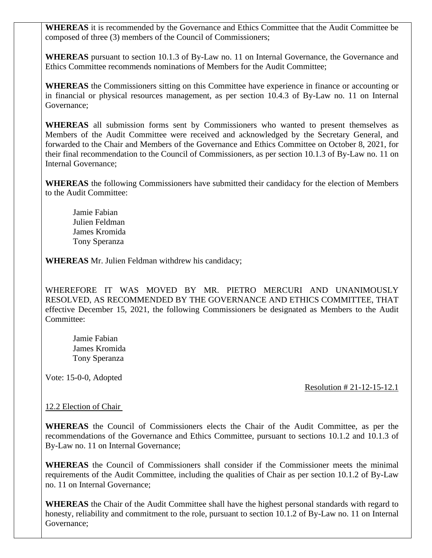**WHEREAS** it is recommended by the Governance and Ethics Committee that the Audit Committee be composed of three (3) members of the Council of Commissioners;

**WHEREAS** pursuant to section 10.1.3 of By-Law no. 11 on Internal Governance, the Governance and Ethics Committee recommends nominations of Members for the Audit Committee;

**WHEREAS** the Commissioners sitting on this Committee have experience in finance or accounting or in financial or physical resources management, as per section 10.4.3 of By-Law no. 11 on Internal Governance;

**WHEREAS** all submission forms sent by Commissioners who wanted to present themselves as Members of the Audit Committee were received and acknowledged by the Secretary General, and forwarded to the Chair and Members of the Governance and Ethics Committee on October 8, 2021, for their final recommendation to the Council of Commissioners, as per section 10.1.3 of By-Law no. 11 on Internal Governance;

**WHEREAS** the following Commissioners have submitted their candidacy for the election of Members to the Audit Committee:

Jamie Fabian Julien Feldman James Kromida Tony Speranza

**WHEREAS** Mr. Julien Feldman withdrew his candidacy;

WHEREFORE IT WAS MOVED BY MR. PIETRO MERCURI AND UNANIMOUSLY RESOLVED, AS RECOMMENDED BY THE GOVERNANCE AND ETHICS COMMITTEE, THAT effective December 15, 2021, the following Commissioners be designated as Members to the Audit Committee:

Jamie Fabian James Kromida Tony Speranza

Vote: 15-0-0, Adopted

Resolution # 21-12-15-12.1

# 12.2 Election of Chair

**WHEREAS** the Council of Commissioners elects the Chair of the Audit Committee, as per the recommendations of the Governance and Ethics Committee, pursuant to sections 10.1.2 and 10.1.3 of By-Law no. 11 on Internal Governance;

**WHEREAS** the Council of Commissioners shall consider if the Commissioner meets the minimal requirements of the Audit Committee, including the qualities of Chair as per section 10.1.2 of By-Law no. 11 on Internal Governance;

**WHEREAS** the Chair of the Audit Committee shall have the highest personal standards with regard to honesty, reliability and commitment to the role, pursuant to section 10.1.2 of By-Law no. 11 on Internal Governance;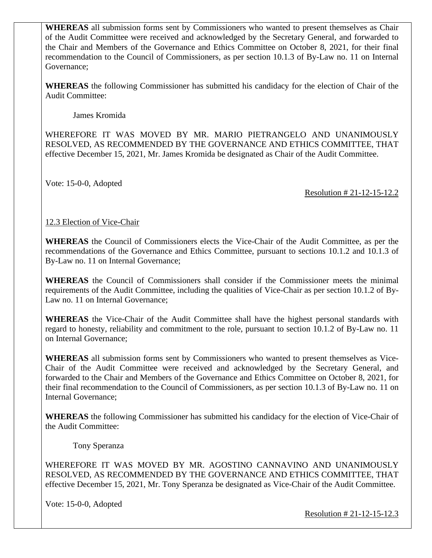**WHEREAS** all submission forms sent by Commissioners who wanted to present themselves as Chair of the Audit Committee were received and acknowledged by the Secretary General, and forwarded to the Chair and Members of the Governance and Ethics Committee on October 8, 2021, for their final recommendation to the Council of Commissioners, as per section 10.1.3 of By-Law no. 11 on Internal Governance;

**WHEREAS** the following Commissioner has submitted his candidacy for the election of Chair of the Audit Committee:

James Kromida

WHEREFORE IT WAS MOVED BY MR. MARIO PIETRANGELO AND UNANIMOUSLY RESOLVED, AS RECOMMENDED BY THE GOVERNANCE AND ETHICS COMMITTEE, THAT effective December 15, 2021, Mr. James Kromida be designated as Chair of the Audit Committee.

Vote: 15-0-0, Adopted

Resolution # 21-12-15-12.2

12.3 Election of Vice-Chair

**WHEREAS** the Council of Commissioners elects the Vice-Chair of the Audit Committee, as per the recommendations of the Governance and Ethics Committee, pursuant to sections 10.1.2 and 10.1.3 of By-Law no. 11 on Internal Governance;

**WHEREAS** the Council of Commissioners shall consider if the Commissioner meets the minimal requirements of the Audit Committee, including the qualities of Vice-Chair as per section 10.1.2 of By-Law no. 11 on Internal Governance;

**WHEREAS** the Vice-Chair of the Audit Committee shall have the highest personal standards with regard to honesty, reliability and commitment to the role, pursuant to section 10.1.2 of By-Law no. 11 on Internal Governance;

**WHEREAS** all submission forms sent by Commissioners who wanted to present themselves as Vice-Chair of the Audit Committee were received and acknowledged by the Secretary General, and forwarded to the Chair and Members of the Governance and Ethics Committee on October 8, 2021, for their final recommendation to the Council of Commissioners, as per section 10.1.3 of By-Law no. 11 on Internal Governance;

**WHEREAS** the following Commissioner has submitted his candidacy for the election of Vice-Chair of the Audit Committee:

Tony Speranza

WHEREFORE IT WAS MOVED BY MR. AGOSTINO CANNAVINO AND UNANIMOUSLY RESOLVED, AS RECOMMENDED BY THE GOVERNANCE AND ETHICS COMMITTEE, THAT effective December 15, 2021, Mr. Tony Speranza be designated as Vice-Chair of the Audit Committee.

Vote: 15-0-0, Adopted

Resolution # 21-12-15-12.3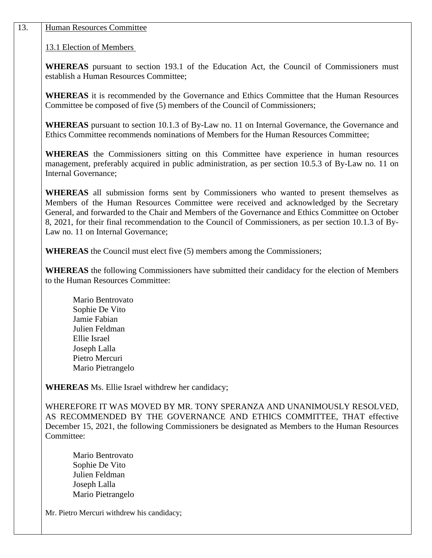#### 13. Human Resources Committee

13.1 Election of Members

**WHEREAS** pursuant to section 193.1 of the Education Act, the Council of Commissioners must establish a Human Resources Committee;

**WHEREAS** it is recommended by the Governance and Ethics Committee that the Human Resources Committee be composed of five (5) members of the Council of Commissioners;

**WHEREAS** pursuant to section 10.1.3 of By-Law no. 11 on Internal Governance, the Governance and Ethics Committee recommends nominations of Members for the Human Resources Committee;

**WHEREAS** the Commissioners sitting on this Committee have experience in human resources management, preferably acquired in public administration, as per section 10.5.3 of By-Law no. 11 on Internal Governance;

**WHEREAS** all submission forms sent by Commissioners who wanted to present themselves as Members of the Human Resources Committee were received and acknowledged by the Secretary General, and forwarded to the Chair and Members of the Governance and Ethics Committee on October 8, 2021, for their final recommendation to the Council of Commissioners, as per section 10.1.3 of By-Law no. 11 on Internal Governance;

**WHEREAS** the Council must elect five (5) members among the Commissioners;

**WHEREAS** the following Commissioners have submitted their candidacy for the election of Members to the Human Resources Committee:

Mario Bentrovato Sophie De Vito Jamie Fabian Julien Feldman Ellie Israel Joseph Lalla Pietro Mercuri Mario Pietrangelo

**WHEREAS** Ms. Ellie Israel withdrew her candidacy;

WHEREFORE IT WAS MOVED BY MR. TONY SPERANZA AND UNANIMOUSLY RESOLVED, AS RECOMMENDED BY THE GOVERNANCE AND ETHICS COMMITTEE, THAT effective December 15, 2021, the following Commissioners be designated as Members to the Human Resources Committee:

Mario Bentrovato Sophie De Vito Julien Feldman Joseph Lalla Mario Pietrangelo

Mr. Pietro Mercuri withdrew his candidacy;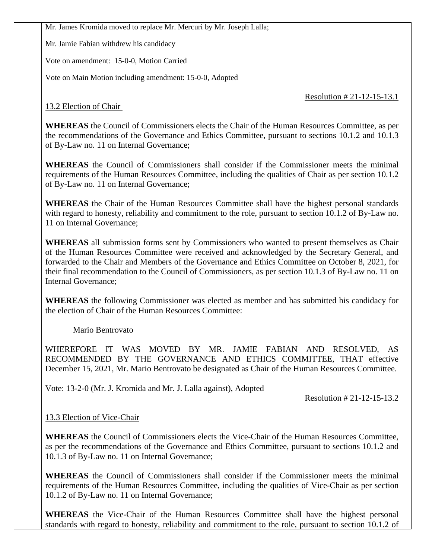Mr. James Kromida moved to replace Mr. Mercuri by Mr. Joseph Lalla;

Mr. Jamie Fabian withdrew his candidacy

Vote on amendment: 15-0-0, Motion Carried

Vote on Main Motion including amendment: 15-0-0, Adopted

Resolution # 21-12-15-13.1

13.2 Election of Chair

**WHEREAS** the Council of Commissioners elects the Chair of the Human Resources Committee, as per the recommendations of the Governance and Ethics Committee, pursuant to sections 10.1.2 and 10.1.3 of By-Law no. 11 on Internal Governance;

**WHEREAS** the Council of Commissioners shall consider if the Commissioner meets the minimal requirements of the Human Resources Committee, including the qualities of Chair as per section 10.1.2 of By-Law no. 11 on Internal Governance;

**WHEREAS** the Chair of the Human Resources Committee shall have the highest personal standards with regard to honesty, reliability and commitment to the role, pursuant to section 10.1.2 of By-Law no. 11 on Internal Governance;

**WHEREAS** all submission forms sent by Commissioners who wanted to present themselves as Chair of the Human Resources Committee were received and acknowledged by the Secretary General, and forwarded to the Chair and Members of the Governance and Ethics Committee on October 8, 2021, for their final recommendation to the Council of Commissioners, as per section 10.1.3 of By-Law no. 11 on Internal Governance;

**WHEREAS** the following Commissioner was elected as member and has submitted his candidacy for the election of Chair of the Human Resources Committee:

Mario Bentrovato

WHEREFORE IT WAS MOVED BY MR. JAMIE FABIAN AND RESOLVED, AS RECOMMENDED BY THE GOVERNANCE AND ETHICS COMMITTEE, THAT effective December 15, 2021, Mr. Mario Bentrovato be designated as Chair of the Human Resources Committee.

Vote: 13-2-0 (Mr. J. Kromida and Mr. J. Lalla against), Adopted

Resolution # 21-12-15-13.2

# 13.3 Election of Vice-Chair

**WHEREAS** the Council of Commissioners elects the Vice-Chair of the Human Resources Committee, as per the recommendations of the Governance and Ethics Committee, pursuant to sections 10.1.2 and 10.1.3 of By-Law no. 11 on Internal Governance;

**WHEREAS** the Council of Commissioners shall consider if the Commissioner meets the minimal requirements of the Human Resources Committee, including the qualities of Vice-Chair as per section 10.1.2 of By-Law no. 11 on Internal Governance;

**WHEREAS** the Vice-Chair of the Human Resources Committee shall have the highest personal standards with regard to honesty, reliability and commitment to the role, pursuant to section 10.1.2 of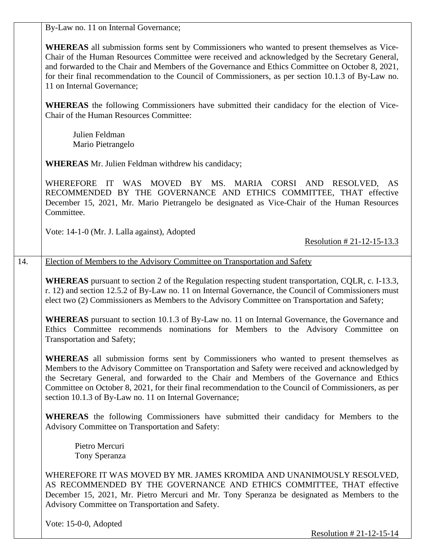By-Law no. 11 on Internal Governance;

**WHEREAS** all submission forms sent by Commissioners who wanted to present themselves as Vice-Chair of the Human Resources Committee were received and acknowledged by the Secretary General, and forwarded to the Chair and Members of the Governance and Ethics Committee on October 8, 2021, for their final recommendation to the Council of Commissioners, as per section 10.1.3 of By-Law no. 11 on Internal Governance;

**WHEREAS** the following Commissioners have submitted their candidacy for the election of Vice-Chair of the Human Resources Committee:

Julien Feldman Mario Pietrangelo

**WHEREAS** Mr. Julien Feldman withdrew his candidacy;

WHEREFORE IT WAS MOVED BY MS. MARIA CORSI AND RESOLVED, AS RECOMMENDED BY THE GOVERNANCE AND ETHICS COMMITTEE, THAT effective December 15, 2021, Mr. Mario Pietrangelo be designated as Vice-Chair of the Human Resources Committee.

Vote: 14-1-0 (Mr. J. Lalla against), Adopted

Resolution # 21-12-15-13.3

#### 14. Election of Members to the Advisory Committee on Transportation and Safety

**WHEREAS** pursuant to section 2 of the Regulation respecting student transportation, CQLR, c. I-13.3, r. 12) and section 12.5.2 of By-Law no. 11 on Internal Governance, the Council of Commissioners must elect two (2) Commissioners as Members to the Advisory Committee on Transportation and Safety;

**WHEREAS** pursuant to section 10.1.3 of By-Law no. 11 on Internal Governance, the Governance and Ethics Committee recommends nominations for Members to the Advisory Committee on Transportation and Safety;

**WHEREAS** all submission forms sent by Commissioners who wanted to present themselves as Members to the Advisory Committee on Transportation and Safety were received and acknowledged by the Secretary General, and forwarded to the Chair and Members of the Governance and Ethics Committee on October 8, 2021, for their final recommendation to the Council of Commissioners, as per section 10.1.3 of By-Law no. 11 on Internal Governance;

**WHEREAS** the following Commissioners have submitted their candidacy for Members to the Advisory Committee on Transportation and Safety:

 Pietro Mercuri Tony Speranza

WHEREFORE IT WAS MOVED BY MR. JAMES KROMIDA AND UNANIMOUSLY RESOLVED, AS RECOMMENDED BY THE GOVERNANCE AND ETHICS COMMITTEE, THAT effective December 15, 2021, Mr. Pietro Mercuri and Mr. Tony Speranza be designated as Members to the Advisory Committee on Transportation and Safety.

Vote: 15-0-0, Adopted

Resolution # 21-12-15-14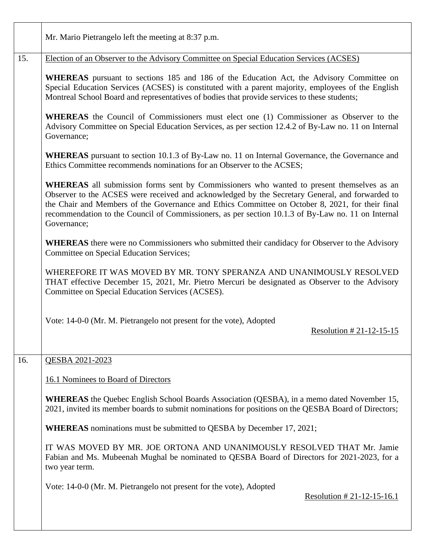|     | Mr. Mario Pietrangelo left the meeting at 8:37 p.m.                                                                                                                                                                                                                                                                                                                                                                          |
|-----|------------------------------------------------------------------------------------------------------------------------------------------------------------------------------------------------------------------------------------------------------------------------------------------------------------------------------------------------------------------------------------------------------------------------------|
| 15. | Election of an Observer to the Advisory Committee on Special Education Services (ACSES)                                                                                                                                                                                                                                                                                                                                      |
|     | WHEREAS pursuant to sections 185 and 186 of the Education Act, the Advisory Committee on<br>Special Education Services (ACSES) is constituted with a parent majority, employees of the English<br>Montreal School Board and representatives of bodies that provide services to these students;                                                                                                                               |
|     | <b>WHEREAS</b> the Council of Commissioners must elect one (1) Commissioner as Observer to the<br>Advisory Committee on Special Education Services, as per section 12.4.2 of By-Law no. 11 on Internal<br>Governance;                                                                                                                                                                                                        |
|     | <b>WHEREAS</b> pursuant to section 10.1.3 of By-Law no. 11 on Internal Governance, the Governance and<br>Ethics Committee recommends nominations for an Observer to the ACSES;                                                                                                                                                                                                                                               |
|     | <b>WHEREAS</b> all submission forms sent by Commissioners who wanted to present themselves as an<br>Observer to the ACSES were received and acknowledged by the Secretary General, and forwarded to<br>the Chair and Members of the Governance and Ethics Committee on October 8, 2021, for their final<br>recommendation to the Council of Commissioners, as per section 10.1.3 of By-Law no. 11 on Internal<br>Governance; |
|     | <b>WHEREAS</b> there were no Commissioners who submitted their candidacy for Observer to the Advisory<br>Committee on Special Education Services;                                                                                                                                                                                                                                                                            |
|     | WHEREFORE IT WAS MOVED BY MR. TONY SPERANZA AND UNANIMOUSLY RESOLVED<br>THAT effective December 15, 2021, Mr. Pietro Mercuri be designated as Observer to the Advisory<br>Committee on Special Education Services (ACSES).                                                                                                                                                                                                   |
|     | Vote: 14-0-0 (Mr. M. Pietrangelo not present for the vote), Adopted<br><u>Resolution #21-12-15-15</u>                                                                                                                                                                                                                                                                                                                        |
| 16. | QESBA 2021-2023                                                                                                                                                                                                                                                                                                                                                                                                              |
|     | 16.1 Nominees to Board of Directors                                                                                                                                                                                                                                                                                                                                                                                          |
|     | <b>WHEREAS</b> the Quebec English School Boards Association (QESBA), in a memo dated November 15,<br>2021, invited its member boards to submit nominations for positions on the QESBA Board of Directors;                                                                                                                                                                                                                    |
|     | <b>WHEREAS</b> nominations must be submitted to QESBA by December 17, 2021;                                                                                                                                                                                                                                                                                                                                                  |
|     | IT WAS MOVED BY MR. JOE ORTONA AND UNANIMOUSLY RESOLVED THAT Mr. Jamie<br>Fabian and Ms. Mubeenah Mughal be nominated to QESBA Board of Directors for 2021-2023, for a<br>two year term.                                                                                                                                                                                                                                     |
|     | Vote: 14-0-0 (Mr. M. Pietrangelo not present for the vote), Adopted<br>Resolution $#21-12-15-16.1$                                                                                                                                                                                                                                                                                                                           |
|     |                                                                                                                                                                                                                                                                                                                                                                                                                              |

 $\mathbf{I}$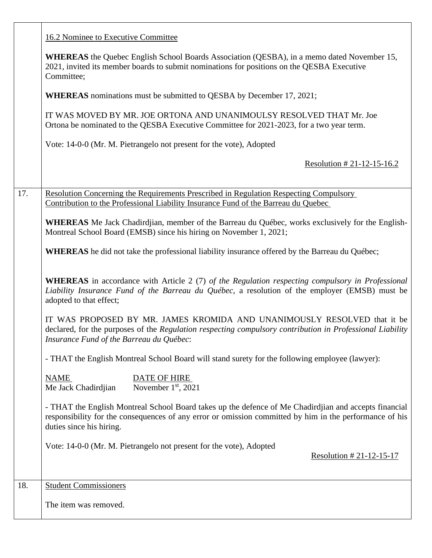|     | 16.2 Nominee to Executive Committee                                                                                                                                                                                                          |
|-----|----------------------------------------------------------------------------------------------------------------------------------------------------------------------------------------------------------------------------------------------|
|     | <b>WHEREAS</b> the Quebec English School Boards Association (QESBA), in a memo dated November 15,<br>2021, invited its member boards to submit nominations for positions on the QESBA Executive<br>Committee;                                |
|     | <b>WHEREAS</b> nominations must be submitted to QESBA by December 17, 2021;                                                                                                                                                                  |
|     | IT WAS MOVED BY MR. JOE ORTONA AND UNANIMOULSY RESOLVED THAT Mr. Joe<br>Ortona be nominated to the QESBA Executive Committee for 2021-2023, for a two year term.                                                                             |
|     | Vote: 14-0-0 (Mr. M. Pietrangelo not present for the vote), Adopted                                                                                                                                                                          |
|     | Resolution # 21-12-15-16.2                                                                                                                                                                                                                   |
| 17. | <b>Resolution Concerning the Requirements Prescribed in Regulation Respecting Compulsory</b>                                                                                                                                                 |
|     | Contribution to the Professional Liability Insurance Fund of the Barreau du Quebec                                                                                                                                                           |
|     | <b>WHEREAS</b> Me Jack Chadirdjian, member of the Barreau du Québec, works exclusively for the English-<br>Montreal School Board (EMSB) since his hiring on November 1, 2021;                                                                |
|     | <b>WHEREAS</b> he did not take the professional liability insurance offered by the Barreau du Québec;                                                                                                                                        |
|     | <b>WHEREAS</b> in accordance with Article 2 (7) of the Regulation respecting compulsory in Professional<br>Liability Insurance Fund of the Barreau du Québec, a resolution of the employer (EMSB) must be<br>adopted to that effect;         |
|     | IT WAS PROPOSED BY MR. JAMES KROMIDA AND UNANIMOUSLY RESOLVED that it be<br>declared, for the purposes of the Regulation respecting compulsory contribution in Professional Liability<br>Insurance Fund of the Barreau du Québec:            |
|     | - THAT the English Montreal School Board will stand surety for the following employee (lawyer):                                                                                                                                              |
|     | <b>NAME</b><br><b>DATE OF HIRE</b><br>Me Jack Chadirdjian<br>November $1st$ , 2021                                                                                                                                                           |
|     | - THAT the English Montreal School Board takes up the defence of Me Chadirdjian and accepts financial<br>responsibility for the consequences of any error or omission committed by him in the performance of his<br>duties since his hiring. |
|     | Vote: 14-0-0 (Mr. M. Pietrangelo not present for the vote), Adopted<br>Resolution # 21-12-15-17                                                                                                                                              |
| 18. | <b>Student Commissioners</b>                                                                                                                                                                                                                 |
|     | The item was removed.                                                                                                                                                                                                                        |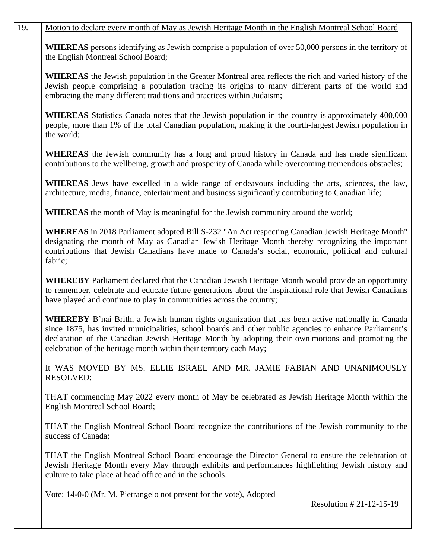# 19. Motion to declare every month of May as Jewish Heritage Month in the English Montreal School Board

**WHEREAS** persons identifying as Jewish comprise a population of over 50,000 persons in the territory of the English Montreal School Board;

**WHEREAS** the Jewish population in the Greater Montreal area reflects the rich and varied history of the Jewish people comprising a population tracing its origins to many different parts of the world and embracing the many different traditions and practices within Judaism;

**WHEREAS** Statistics Canada notes that the Jewish population in the country is approximately 400,000 people, more than 1% of the total Canadian population, making it the fourth-largest Jewish population in the world;

**WHEREAS** the Jewish community has a long and proud history in Canada and has made significant contributions to the wellbeing, growth and prosperity of Canada while overcoming tremendous obstacles;

**WHEREAS** Jews have excelled in a wide range of endeavours including the arts, sciences, the law, architecture, media, finance, entertainment and business significantly contributing to Canadian life;

**WHEREAS** the month of May is meaningful for the Jewish community around the world;

**WHEREAS** in 2018 Parliament adopted Bill S-232 "An Act respecting Canadian Jewish Heritage Month" designating the month of May as Canadian Jewish Heritage Month thereby recognizing the important contributions that Jewish Canadians have made to Canada's social, economic, political and cultural fabric;

**WHEREBY** Parliament declared that the Canadian Jewish Heritage Month would provide an opportunity to remember, celebrate and educate future generations about the inspirational role that Jewish Canadians have played and continue to play in communities across the country;

**WHEREBY** B'nai Brith, a Jewish human rights organization that has been active nationally in Canada since 1875, has invited municipalities, school boards and other public agencies to enhance Parliament's declaration of the Canadian Jewish Heritage Month by adopting their own motions and promoting the celebration of the heritage month within their territory each May;

It WAS MOVED BY MS. ELLIE ISRAEL AND MR. JAMIE FABIAN AND UNANIMOUSLY RESOLVED:

THAT commencing May 2022 every month of May be celebrated as Jewish Heritage Month within the English Montreal School Board;

THAT the English Montreal School Board recognize the contributions of the Jewish community to the success of Canada;

THAT the English Montreal School Board encourage the Director General to ensure the celebration of Jewish Heritage Month every May through exhibits and performances highlighting Jewish history and culture to take place at head office and in the schools.

Vote: 14-0-0 (Mr. M. Pietrangelo not present for the vote), Adopted

Resolution # 21-12-15-19